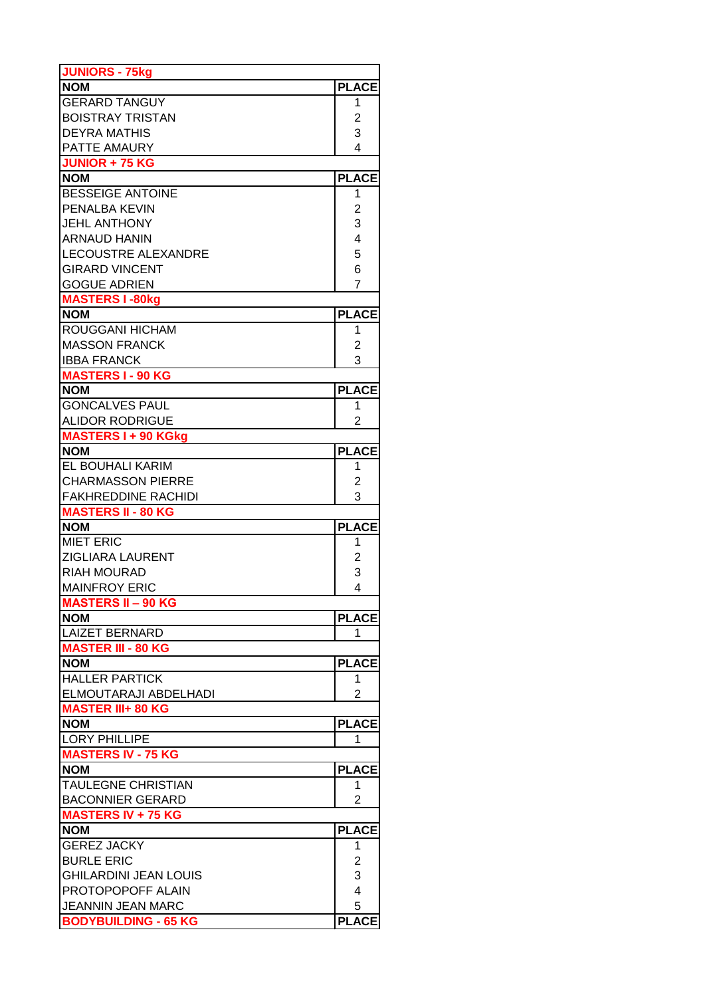| <b>JUNIORS - 75kg</b>                                |                |
|------------------------------------------------------|----------------|
| <b>NOM</b>                                           | <b>PLACE</b>   |
| <b>GERARD TANGUY</b>                                 | 1              |
| <b>BOISTRAY TRISTAN</b>                              | 2              |
| <b>DEYRA MATHIS</b>                                  | 3              |
| PATTE AMAURY                                         | 4              |
| <b>JUNIOR + 75 KG</b>                                |                |
| <b>NOM</b>                                           | <b>PLACE</b>   |
| <b>BESSEIGE ANTOINE</b>                              | 1              |
| PENALBA KEVIN                                        | 2              |
| <b>JEHL ANTHONY</b>                                  | 3              |
| ARNAUD HANIN                                         | 4              |
| LECOUSTRE ALEXANDRE                                  | 5              |
| <b>GIRARD VINCENT</b>                                | 6              |
| <b>GOGUE ADRIEN</b>                                  | $\overline{7}$ |
| <b>MASTERS I-80kg</b>                                |                |
| <b>NOM</b>                                           | <b>PLACE</b>   |
| ROUGGANI HICHAM                                      | 1              |
| <b>MASSON FRANCK</b>                                 | 2              |
| <b>IBBA FRANCK</b>                                   | 3              |
| <b>MASTERS I - 90 KG</b>                             |                |
| <b>NOM</b>                                           | <b>PLACE</b>   |
| <b>GONCALVES PAUL</b>                                | 1              |
| <b>ALIDOR RODRIGUE</b>                               | $\overline{2}$ |
| <b>MASTERS I + 90 KGkg</b>                           |                |
| <b>NOM</b>                                           | <b>PLACE</b>   |
| EL BOUHALI KARIM                                     | 1              |
| <b>CHARMASSON PIERRE</b>                             | 2              |
| <b>FAKHREDDINE RACHIDI</b>                           | 3              |
| <b>MASTERS II - 80 KG</b>                            |                |
| <b>NOM</b>                                           | <b>PLACE</b>   |
| <b>MIET ERIC</b>                                     | 1              |
| <b>ZIGLIARA LAURENT</b>                              | 2              |
| <b>RIAH MOURAD</b>                                   | 3              |
| <b>MAINFROY ERIC</b>                                 | 4              |
| <b>MASTERS II - 90 KG</b>                            |                |
| <b>NOM</b>                                           | <b>PLACE</b>   |
| <b>LAIZET BERNARD</b>                                | 1              |
| <b>MASTER III - 80 KG</b>                            |                |
| <b>NOM</b>                                           | <b>PLACE</b>   |
| <b>HALLER PARTICK</b>                                | 1              |
| ELMOUTARAJI ABDELHADI                                | $\overline{2}$ |
| <b>MASTER III+ 80 KG</b>                             |                |
| <b>NOM</b>                                           | <b>PLACE</b>   |
| <b>LORY PHILLIPE</b>                                 | 1              |
| <b>MASTERS IV - 75 KG</b>                            |                |
| <b>NOM</b>                                           | <b>PLACE</b>   |
| TAULEGNE CHRISTIAN                                   | 1              |
| <b>BACONNIER GERARD</b><br><b>MASTERS IV + 75 KG</b> | $\overline{2}$ |
| <b>NOM</b>                                           | <b>PLACE</b>   |
| <b>GEREZ JACKY</b>                                   | 1              |
| <b>BURLE ERIC</b>                                    | 2              |
| <b>GHILARDINI JEAN LOUIS</b>                         | 3              |
| PROTOPOPOFF ALAIN                                    | 4              |
| <b>JEANNIN JEAN MARC</b>                             | 5              |
| <b>BODYBUILDING - 65 KG</b>                          | <b>PLACE</b>   |
|                                                      |                |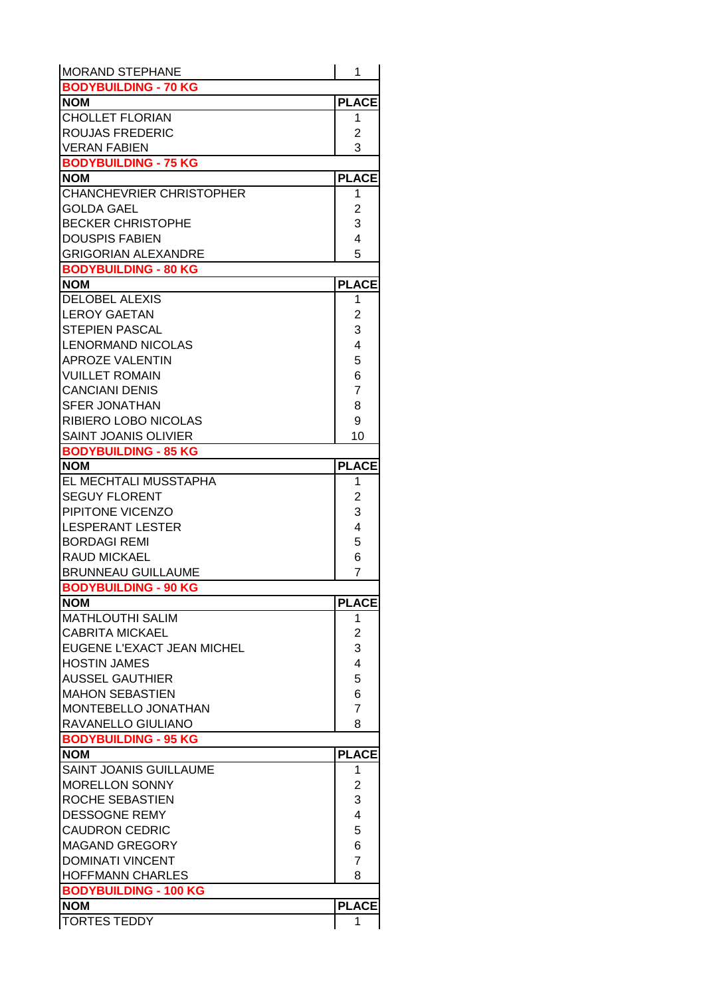| <b>MORAND STEPHANE</b>                               | 1                       |
|------------------------------------------------------|-------------------------|
| <b>BODYBUILDING - 70 KG</b>                          |                         |
| <b>NOM</b>                                           | <b>PLACE</b>            |
| <b>CHOLLET FLORIAN</b>                               | 1                       |
| <b>ROUJAS FREDERIC</b>                               | $\overline{\mathbf{c}}$ |
| <b>VERAN FABIEN</b>                                  | 3                       |
| <b>BODYBUILDING - 75 KG</b>                          |                         |
| <b>NOM</b>                                           | <b>PLACE</b>            |
| <b>CHANCHEVRIER CHRISTOPHER</b>                      | 1                       |
| <b>GOLDA GAEL</b>                                    | $\mathbf 2$             |
| <b>BECKER CHRISTOPHE</b>                             | 3                       |
| <b>DOUSPIS FABIEN</b>                                | 4                       |
| <b>GRIGORIAN ALEXANDRE</b>                           | 5                       |
| <b>BODYBUILDING - 80 KG</b>                          |                         |
| <b>NOM</b>                                           | <b>PLACE</b>            |
| <b>DELOBEL ALEXIS</b>                                | 1                       |
| <b>LEROY GAETAN</b>                                  | $\overline{2}$          |
| <b>STEPIEN PASCAL</b>                                | 3                       |
| <b>LENORMAND NICOLAS</b>                             | 4                       |
| <b>APROZE VALENTIN</b>                               | 5                       |
| <b>VUILLET ROMAIN</b>                                | 6                       |
| <b>CANCIANI DENIS</b>                                | $\overline{7}$          |
| <b>SFER JONATHAN</b>                                 | 8                       |
| RIBIERO LOBO NICOLAS                                 | 9                       |
| SAINT JOANIS OLIVIER                                 | 10                      |
| <b>BODYBUILDING - 85 KG</b>                          |                         |
| <b>NOM</b>                                           | <b>PLACE</b>            |
| EL MECHTALI MUSSTAPHA                                | 1                       |
| <b>SEGUY FLORENT</b>                                 | 2                       |
| PIPITONE VICENZO                                     | 3                       |
| <b>LESPERANT LESTER</b>                              | 4                       |
| <b>BORDAGI REMI</b>                                  | 5                       |
| <b>RAUD MICKAEL</b>                                  | 6                       |
| <b>BRUNNEAU GUILLAUME</b>                            | $\overline{7}$          |
| <b>BODYBUILDING - 90 KG</b><br><b>NOM</b>            | <b>PLACE</b>            |
| <b>MATHLOUTHI SALIM</b>                              |                         |
|                                                      | 1                       |
| <b>CABRITA MICKAEL</b><br>EUGENE L'EXACT JEAN MICHEL | 2<br>3                  |
|                                                      | 4                       |
| <b>HOSTIN JAMES</b><br><b>AUSSEL GAUTHIER</b>        | 5                       |
| <b>MAHON SEBASTIEN</b>                               | 6                       |
| MONTEBELLO JONATHAN                                  | $\overline{7}$          |
| RAVANELLO GIULIANO                                   | 8                       |
| <b>BODYBUILDING - 95 KG</b>                          |                         |
| <b>NOM</b>                                           | <b>PLACE</b>            |
| <b>SAINT JOANIS GUILLAUME</b>                        | 1                       |
| <b>MORELLON SONNY</b>                                | 2                       |
| ROCHE SEBASTIEN                                      | 3                       |
| <b>DESSOGNE REMY</b>                                 | 4                       |
| <b>CAUDRON CEDRIC</b>                                | 5                       |
| <b>MAGAND GREGORY</b>                                | 6                       |
| <b>DOMINATI VINCENT</b>                              | $\overline{7}$          |
| <b>HOFFMANN CHARLES</b>                              | 8                       |
| <b>BODYBUILDING - 100 KG</b>                         |                         |
| <b>NOM</b>                                           | <b>PLACE</b>            |
| <b>TORTES TEDDY</b>                                  | 1                       |
|                                                      |                         |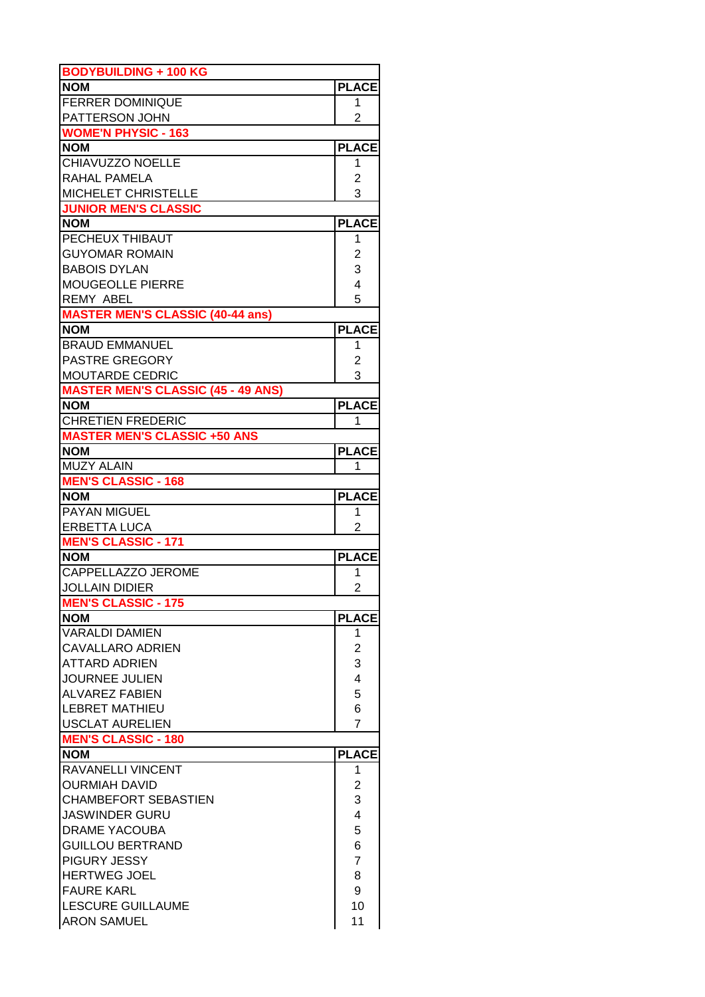| <b>NOM</b>                                     | <b>PLACE</b>   |
|------------------------------------------------|----------------|
| <b>FERRER DOMINIQUE</b>                        | 1.             |
| PATTERSON JOHN                                 | 2              |
| <b>WOME'N PHYSIC - 163</b>                     |                |
| <b>NOM</b>                                     | <b>PLACE</b>   |
| <b>CHIAVUZZO NOELLE</b>                        | 1              |
| RAHAL PAMELA                                   | $\overline{2}$ |
| MICHELET CHRISTELLE                            | 3              |
| <b>JUNIOR MEN'S CLASSIC</b>                    |                |
| <b>NOM</b>                                     | <b>PLACE</b>   |
| PECHEUX THIBAUT                                | 1              |
| <b>GUYOMAR ROMAIN</b>                          | 2              |
| <b>BABOIS DYLAN</b>                            | 3              |
| <b>MOUGEOLLE PIERRE</b>                        | 4              |
| <b>REMY ABEL</b>                               | 5              |
| <b>MASTER MEN'S CLASSIC (40-44 ans)</b>        |                |
| <b>NOM</b>                                     | <b>PLACE</b>   |
| <b>BRAUD EMMANUEL</b>                          | 1              |
| <b>PASTRE GREGORY</b>                          | 2              |
| <b>MOUTARDE CEDRIC</b>                         | 3              |
| <b>MASTER MEN'S CLASSIC (45 - 49 ANS)</b>      |                |
| <b>NOM</b>                                     | <b>PLACE</b>   |
| <b>CHRETIEN FREDERIC</b>                       | 1              |
| <b>MASTER MEN'S CLASSIC +50 ANS</b>            |                |
| <b>NOM</b>                                     | <b>PLACE</b>   |
| <b>MUZY ALAIN</b>                              | 1              |
| <b>MEN'S CLASSIC - 168</b>                     |                |
| <b>NOM</b>                                     | <b>PLACE</b>   |
| <b>PAYAN MIGUEL</b>                            | 1              |
| ERBETTA LUCA                                   | 2              |
| <b>MEN'S CLASSIC - 171</b>                     |                |
| <b>NOM</b>                                     | <b>PLACE</b>   |
| CAPPELLAZZO JEROME                             | 1              |
| <b>JOLLAIN DIDIER</b>                          | $\overline{2}$ |
| <b>MEN'S CLASSIC - 175</b>                     |                |
|                                                |                |
|                                                |                |
| <b>NOM</b>                                     | <b>PLACE</b>   |
| <b>VARALDI DAMIEN</b>                          | 1              |
| <b>CAVALLARO ADRIEN</b>                        | $\overline{2}$ |
| <b>ATTARD ADRIEN</b>                           | 3              |
| <b>JOURNEE JULIEN</b>                          | 4              |
| <b>ALVAREZ FABIEN</b>                          | 5              |
| <b>LEBRET MATHIEU</b>                          | 6              |
| <b>USCLAT AURELIEN</b>                         | $\overline{7}$ |
| <b>MEN'S CLASSIC - 180</b>                     |                |
| <b>NOM</b>                                     | <b>PLACE</b>   |
| RAVANELLI VINCENT                              | 1              |
| <b>OURMIAH DAVID</b>                           | 2              |
| <b>CHAMBEFORT SEBASTIEN</b>                    | 3              |
| <b>JASWINDER GURU</b>                          | 4              |
| <b>DRAME YACOUBA</b>                           | 5              |
| <b>GUILLOU BERTRAND</b>                        | 6              |
| PIGURY JESSY                                   | $\overline{7}$ |
| <b>HERTWEG JOEL</b>                            | 8              |
| <b>FAURE KARL</b>                              | 9              |
| <b>LESCURE GUILLAUME</b><br><b>ARON SAMUEL</b> | 10<br>11       |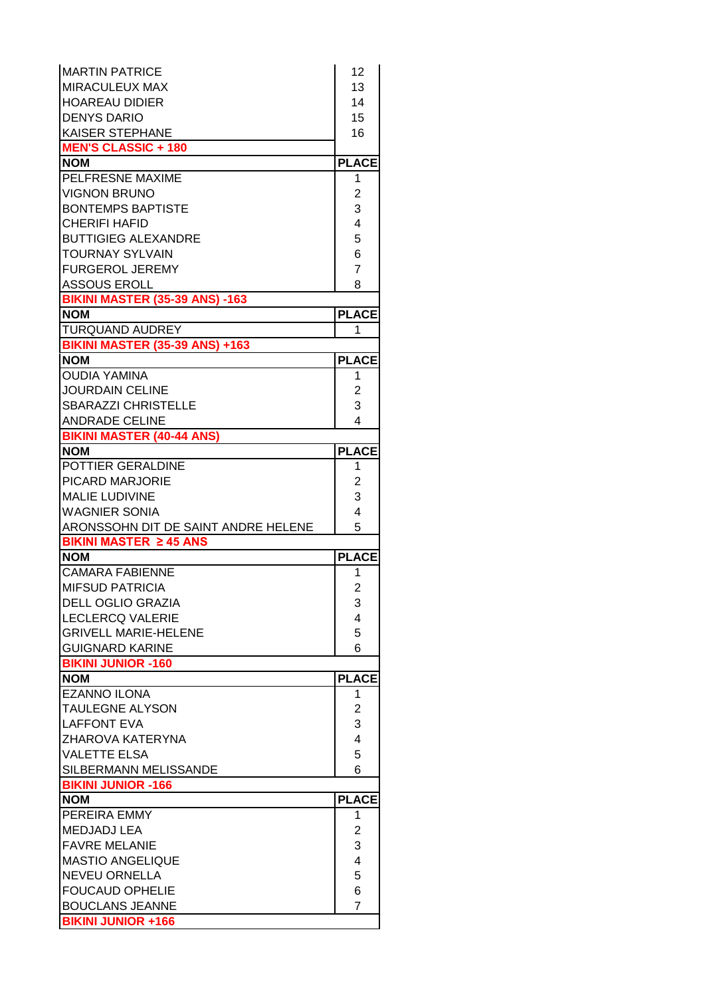|                                                     | 12                      |
|-----------------------------------------------------|-------------------------|
| <b>MIRACULEUX MAX</b>                               | 13                      |
| <b>HOAREAU DIDIER</b>                               | 14                      |
| <b>DENYS DARIO</b>                                  | 15                      |
| KAISER STEPHANE                                     | 16                      |
| <b>MEN'S CLASSIC + 180</b>                          |                         |
| <b>NOM</b>                                          | <b>PLACE</b>            |
| PELFRESNE MAXIME                                    | 1                       |
| <b>VIGNON BRUNO</b>                                 | 2                       |
| <b>BONTEMPS BAPTISTE</b>                            | 3                       |
| <b>CHERIFI HAFID</b>                                | 4                       |
| <b>BUTTIGIEG ALEXANDRE</b>                          | 5                       |
| <b>TOURNAY SYLVAIN</b>                              | 6                       |
| <b>FURGEROL JEREMY</b>                              | $\overline{7}$          |
| <b>ASSOUS EROLL</b>                                 | 8                       |
| <b>BIKINI MASTER (35-39 ANS) -163</b>               |                         |
| <b>NOM</b>                                          | <b>PLACE</b>            |
| <b>TURQUAND AUDREY</b>                              | 1                       |
| <b>BIKINI MASTER (35-39 ANS) +163</b>               |                         |
| <b>NOM</b>                                          | <b>PLACE</b>            |
| <b>OUDIA YAMINA</b>                                 | 1                       |
| JOURDAIN CELINE                                     | 2                       |
| <b>SBARAZZI CHRISTELLE</b>                          | 3                       |
| <b>ANDRADE CELINE</b>                               | 4                       |
| <b>BIKINI MASTER (40-44 ANS)</b>                    |                         |
| <b>NOM</b>                                          | <b>PLACE</b>            |
| <b>POTTIER GERALDINE</b>                            | 1                       |
| <b>PICARD MARJORIE</b>                              | 2                       |
| <b>MALIE LUDIVINE</b>                               | 3                       |
| <b>WAGNIER SONIA</b>                                | 4                       |
| ARONSSOHN DIT DE SAINT ANDRE HELENE                 | 5                       |
|                                                     |                         |
| BIKINI MASTER ≥ 45 ANS                              |                         |
| <b>NOM</b>                                          | <b>PLACE</b>            |
| <b>CAMARA FABIENNE</b>                              | 1                       |
| <b>MIFSUD PATRICIA</b>                              | $\overline{2}$          |
| <b>DELL OGLIO GRAZIA</b>                            | 3                       |
| <b>LECLERCQ VALERIE</b>                             | 4                       |
| <b>GRIVELL MARIE-HELENE</b>                         | 5                       |
| <b>GUIGNARD KARINE</b>                              | 6                       |
| <b>BIKINI JUNIOR -160</b>                           |                         |
| <b>NOM</b>                                          | <b>PLACE</b>            |
| <b>EZANNO ILONA</b>                                 | 1                       |
| <b>TAULEGNE ALYSON</b>                              | $\overline{c}$          |
| <b>LAFFONT EVA</b>                                  | 3                       |
| ZHAROVA KATERYNA                                    | 4                       |
| <b>VALETTE ELSA</b>                                 | 5                       |
| SILBERMANN MELISSANDE                               | 6                       |
| <b>BIKINI JUNIOR -166</b>                           |                         |
| <b>NOM</b>                                          | <b>PLACE</b>            |
| PEREIRA EMMY                                        | 1                       |
| <b>MEDJADJ LEA</b>                                  | $\overline{\mathbf{c}}$ |
| <b>FAVRE MELANIE</b>                                | 3                       |
| <b>MASTIO ANGELIQUE</b>                             | 4                       |
| <b>NEVEU ORNELLA</b>                                | 5                       |
| <b>FOUCAUD OPHELIE</b>                              | 6                       |
| <b>BOUCLANS JEANNE</b><br><b>BIKINI JUNIOR +166</b> | $\overline{7}$          |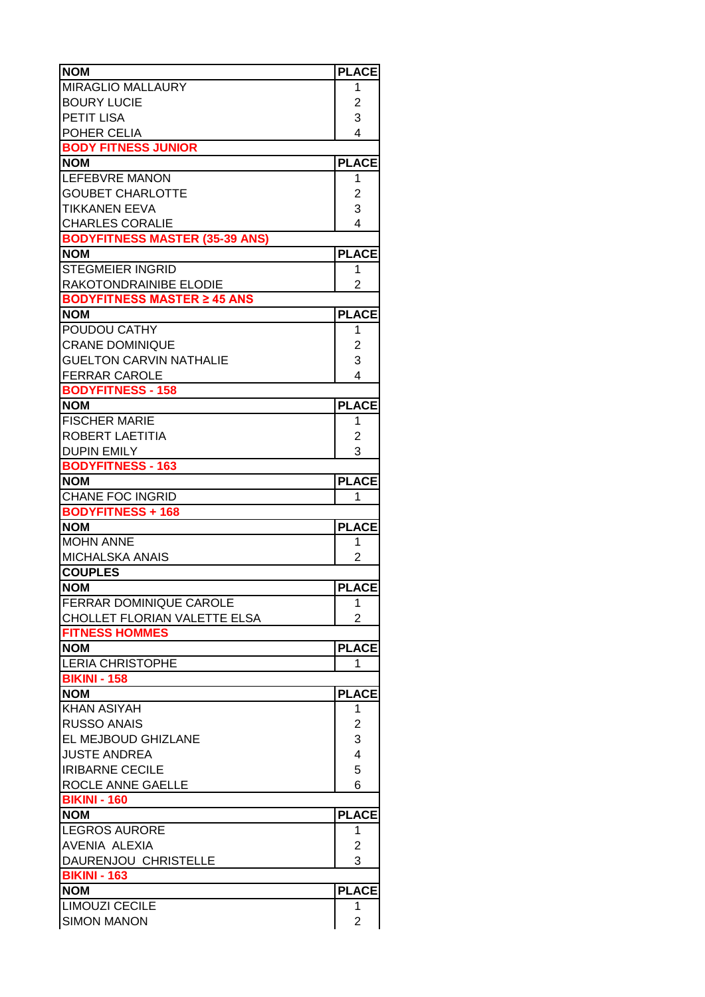| <b>NOM</b>                                     | <b>PLACE</b>        |
|------------------------------------------------|---------------------|
| <b>MIRAGLIO MALLAURY</b>                       | 1                   |
| <b>BOURY LUCIE</b>                             | 2                   |
| PETIT LISA                                     | 3                   |
| POHER CELIA                                    | 4                   |
| <b>BODY FITNESS JUNIOR</b>                     |                     |
| <b>NOM</b>                                     | <b>PLACE</b>        |
| <b>LEFEBVRE MANON</b>                          | 1                   |
| <b>GOUBET CHARLOTTE</b>                        | 2                   |
| <b>TIKKANEN EEVA</b>                           | 3                   |
| <b>CHARLES CORALIE</b>                         | 4                   |
| <b>BODYFITNESS MASTER (35-39 ANS)</b>          |                     |
| <b>NOM</b>                                     | <b>PLACE</b>        |
| <b>STEGMEIER INGRID</b>                        | 1                   |
| RAKOTONDRAINIBE ELODIE                         | $\overline{2}$      |
| <b>BODYFITNESS MASTER ≥ 45 ANS</b>             |                     |
| <b>NOM</b>                                     | <b>PLACE</b>        |
| POUDOU CATHY                                   | 1                   |
| <b>CRANE DOMINIQUE</b>                         | 2                   |
| <b>GUELTON CARVIN NATHALIE</b>                 | 3                   |
| <b>FERRAR CAROLE</b>                           | 4                   |
| <b>BODYFITNESS - 158</b>                       |                     |
| <b>NOM</b>                                     | <b>PLACE</b>        |
| <b>FISCHER MARIE</b>                           | 1                   |
| ROBERT LAETITIA                                | 2                   |
| <b>DUPIN EMILY</b>                             | 3                   |
| <b>BODYFITNESS - 163</b>                       |                     |
| <b>NOM</b>                                     | <b>PLACE</b>        |
| <b>CHANE FOC INGRID</b>                        | 1                   |
| <b>BODYFITNESS + 168</b>                       |                     |
| <b>NOM</b>                                     | <b>PLACE</b>        |
| <b>MOHN ANNE</b>                               | 1                   |
| <b>MICHALSKA ANAIS</b>                         | $\overline{2}$      |
| <b>COUPLES</b>                                 |                     |
| <b>NOM</b>                                     | <b>PLACE</b>        |
| <b>FERRAR DOMINIQUE CAROLE</b>                 | 1<br>$\overline{2}$ |
| CHOLLET FLORIAN VALETTE ELSA                   |                     |
| <b>FITNESS HOMMES</b><br><b>NOM</b>            | <b>PLACE</b>        |
|                                                | 1                   |
| <b>LERIA CHRISTOPHE</b><br><b>BIKINI - 158</b> |                     |
| <b>NOM</b>                                     | <b>PLACE</b>        |
| <b>KHAN ASIYAH</b>                             | 1                   |
| <b>RUSSO ANAIS</b>                             | 2                   |
| EL MEJBOUD GHIZLANE                            | 3                   |
| <b>JUSTE ANDREA</b>                            | 4                   |
| <b>IRIBARNE CECILE</b>                         | 5                   |
| ROCLE ANNE GAELLE                              | 6                   |
| <b>BIKINI - 160</b>                            |                     |
| <b>NOM</b>                                     | <b>PLACE</b>        |
| <b>LEGROS AURORE</b>                           | 1                   |
| AVENIA ALEXIA                                  | 2                   |
| DAURENJOU CHRISTELLE                           | 3                   |
| <b>BIKINI - 163</b>                            |                     |
| <b>NOM</b>                                     | <b>PLACE</b>        |
| <b>LIMOUZI CECILE</b>                          | 1                   |
| <b>SIMON MANON</b>                             | $\overline{2}$      |
|                                                |                     |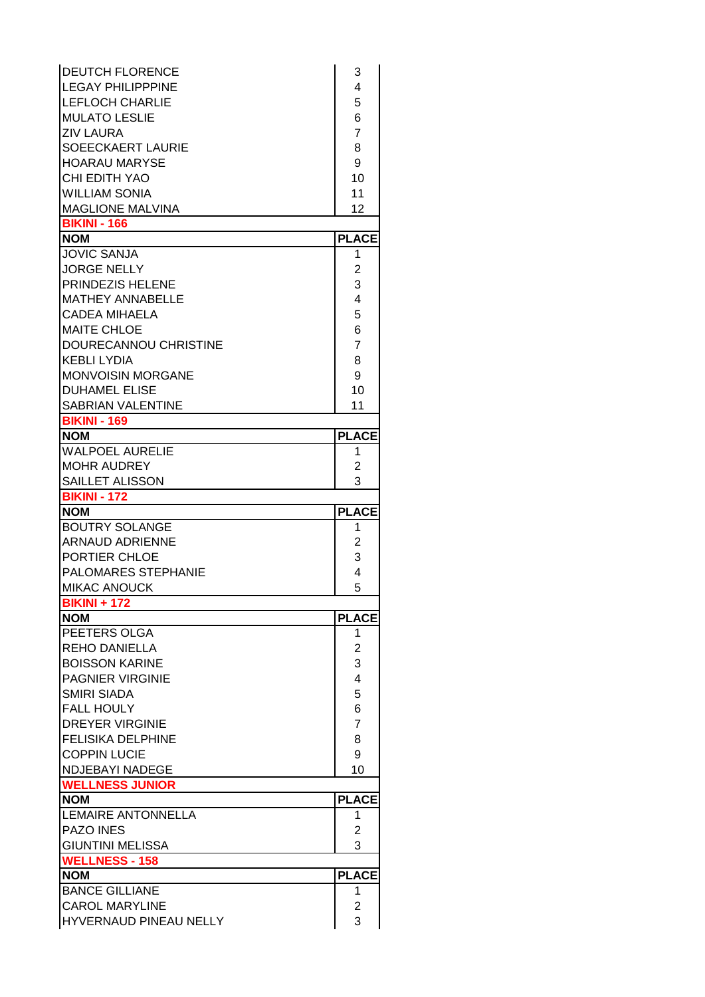| <b>DEUTCH FLORENCE</b>                  | 3                   |
|-----------------------------------------|---------------------|
| <b>LEGAY PHILIPPPINE</b>                | 4                   |
| <b>LEFLOCH CHARLIE</b>                  | 5                   |
| <b>MULATO LESLIE</b>                    | 6                   |
| <b>ZIV LAURA</b>                        | $\overline{7}$      |
| SOEECKAERT LAURIE                       | 8                   |
| <b>HOARAU MARYSE</b>                    | 9                   |
| CHI EDITH YAO                           | 10                  |
| <b>WILLIAM SONIA</b>                    | 11                  |
| <b>MAGLIONE MALVINA</b>                 | 12                  |
| <b>BIKINI - 166</b>                     |                     |
| <b>NOM</b>                              | <b>PLACE</b>        |
| <b>JOVIC SANJA</b>                      | 1                   |
| <b>JORGE NELLY</b>                      | 2                   |
| PRINDEZIS HELENE                        | 3                   |
| <b>MATHEY ANNABELLE</b>                 | 4                   |
| <b>CADEA MIHAELA</b>                    | 5                   |
| <b>MAITE CHLOE</b>                      | 6                   |
| <b>DOURECANNOU CHRISTINE</b>            | $\overline{7}$      |
| <b>KEBLI LYDIA</b>                      | 8                   |
| <b>MONVOISIN MORGANE</b>                | 9                   |
| <b>DUHAMEL ELISE</b>                    | 10                  |
| <b>SABRIAN VALENTINE</b>                | 11                  |
| <b>BIKINI - 169</b>                     |                     |
| <b>NOM</b>                              | <b>PLACE</b>        |
| <b>WALPOEL AURELIE</b>                  | 1                   |
| <b>MOHR AUDREY</b>                      | 2                   |
| SAILLET ALISSON                         | 3                   |
|                                         |                     |
| <b>BIKINI - 172</b>                     |                     |
| <b>NOM</b>                              | <b>PLACE</b>        |
| <b>BOUTRY SOLANGE</b>                   | 1                   |
| <b>ARNAUD ADRIENNE</b>                  | 2                   |
| PORTIER CHLOE                           | 3                   |
| <b>PALOMARES STEPHANIE</b>              | 4                   |
| <b>MIKAC ANOUCK</b>                     | 5                   |
| <b>BIKINI + 172</b>                     |                     |
| <b>NOM</b>                              | <b>PLACE</b>        |
| PEETERS OLGA                            | 1                   |
| <b>REHO DANIELLA</b>                    | 2                   |
| <b>BOISSON KARINE</b>                   | 3                   |
| <b>PAGNIER VIRGINIE</b>                 | 4                   |
| <b>SMIRI SIADA</b><br><b>FALL HOULY</b> | 5                   |
| <b>DREYER VIRGINIE</b>                  | 6<br>$\overline{7}$ |
| <b>FELISIKA DELPHINE</b>                | 8                   |
| <b>COPPIN LUCIE</b>                     | 9                   |
| <b>NDJEBAYI NADEGE</b>                  | 10                  |
| <b>WELLNESS JUNIOR</b>                  |                     |
| <b>NOM</b>                              | <b>PLACE</b>        |
| LEMAIRE ANTONNELLA                      | 1                   |
| PAZO INES                               | 2                   |
| <b>GIUNTINI MELISSA</b>                 | 3                   |
| <b>WELLNESS - 158</b>                   |                     |
| <b>NOM</b>                              | <b>PLACE</b>        |
| <b>BANCE GILLIANE</b>                   | 1                   |
| <b>CAROL MARYLINE</b>                   | 2                   |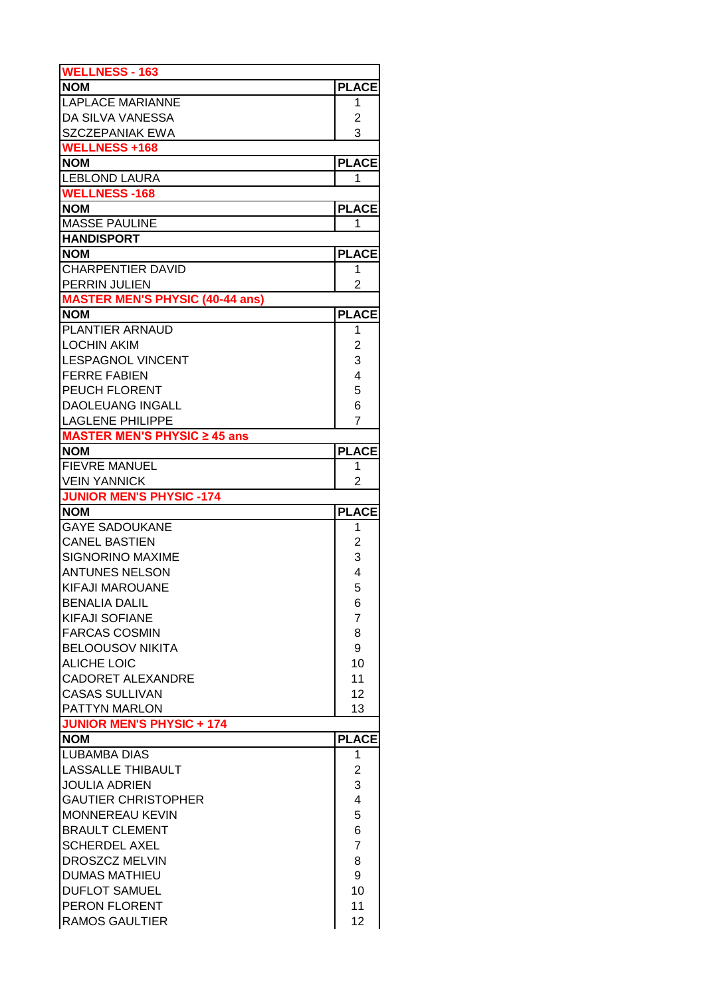| <b>WELLNESS - 163</b>                                                    |                |
|--------------------------------------------------------------------------|----------------|
| <b>NOM</b>                                                               | <b>PLACE</b>   |
| <b>LAPLACE MARIANNE</b>                                                  | 1              |
| DA SILVA VANESSA                                                         | 2              |
| SZCZEPANIAK EWA                                                          | 3              |
| <b>WELLNESS +168</b>                                                     |                |
| <b>NOM</b>                                                               | <b>PLACE</b>   |
| <b>LEBLOND LAURA</b>                                                     | 1              |
| <b>WELLNESS-168</b>                                                      |                |
| <b>NOM</b>                                                               | <b>PLACE</b>   |
| <b>MASSE PAULINE</b>                                                     | 1              |
| <b>HANDISPORT</b>                                                        |                |
|                                                                          |                |
| <b>NOM</b>                                                               | <b>PLACE</b>   |
| <b>CHARPENTIER DAVID</b>                                                 | 1              |
| PERRIN JULIEN                                                            | $\overline{2}$ |
| <b>MASTER MEN'S PHYSIC (40-44 ans)</b>                                   |                |
| <b>NOM</b>                                                               | <b>PLACE</b>   |
| PLANTIER ARNAUD                                                          | 1              |
| <b>LOCHIN AKIM</b>                                                       | 2              |
| <b>LESPAGNOL VINCENT</b>                                                 | 3              |
| <b>FERRE FABIEN</b>                                                      | 4              |
| PEUCH FLORENT                                                            | 5              |
| <b>DAOLEUANG INGALL</b>                                                  | 6              |
| <b>LAGLENE PHILIPPE</b>                                                  | $\overline{7}$ |
| <b>MASTER MEN'S PHYSIC <math>\geq 45</math> ans</b>                      |                |
| <b>NOM</b>                                                               | <b>PLACE</b>   |
| <b>FIEVRE MANUEL</b>                                                     | 1              |
| <b>VEIN YANNICK</b>                                                      | $\overline{2}$ |
|                                                                          |                |
|                                                                          |                |
| <b>JUNIOR MEN'S PHYSIC -174</b><br><b>NOM</b>                            |                |
|                                                                          | <b>PLACE</b>   |
| <b>GAYE SADOUKANE</b>                                                    | 1              |
|                                                                          | 2              |
|                                                                          | 3              |
| <b>CANEL BASTIEN</b><br><b>SIGNORINO MAXIME</b><br><b>ANTUNES NELSON</b> | 4              |
| <b>KIFAJI MAROUANE</b>                                                   | 5              |
| <b>BENALIA DALIL</b>                                                     | 6              |
| <b>KIFAJI SOFIANE</b>                                                    | $\overline{7}$ |
| <b>FARCAS COSMIN</b>                                                     | 8              |
| <b>BELOOUSOV NIKITA</b>                                                  | 9              |
| <b>ALICHE LOIC</b>                                                       | 10             |
| <b>CADORET ALEXANDRE</b>                                                 | 11             |
| <b>CASAS SULLIVAN</b>                                                    | 12             |
| PATTYN MARLON                                                            | 13             |
| <b>JUNIOR MEN'S PHYSIC + 174</b>                                         |                |
| <b>NOM</b>                                                               | <b>PLACE</b>   |
| LUBAMBA DIAS                                                             | 1              |
| <b>LASSALLE THIBAULT</b>                                                 | 2              |
| <b>JOULIA ADRIEN</b>                                                     | 3              |
| <b>GAUTIER CHRISTOPHER</b>                                               | 4              |
| MONNEREAU KEVIN                                                          | 5              |
|                                                                          |                |
| <b>BRAULT CLEMENT</b>                                                    | 6              |
| <b>SCHERDEL AXEL</b>                                                     | $\overline{7}$ |
| DROSZCZ MELVIN                                                           | 8              |
| <b>DUMAS MATHIEU</b>                                                     | 9              |
| <b>DUFLOT SAMUEL</b>                                                     | 10             |
| PERON FLORENT<br><b>RAMOS GAULTIER</b>                                   | 11<br>12       |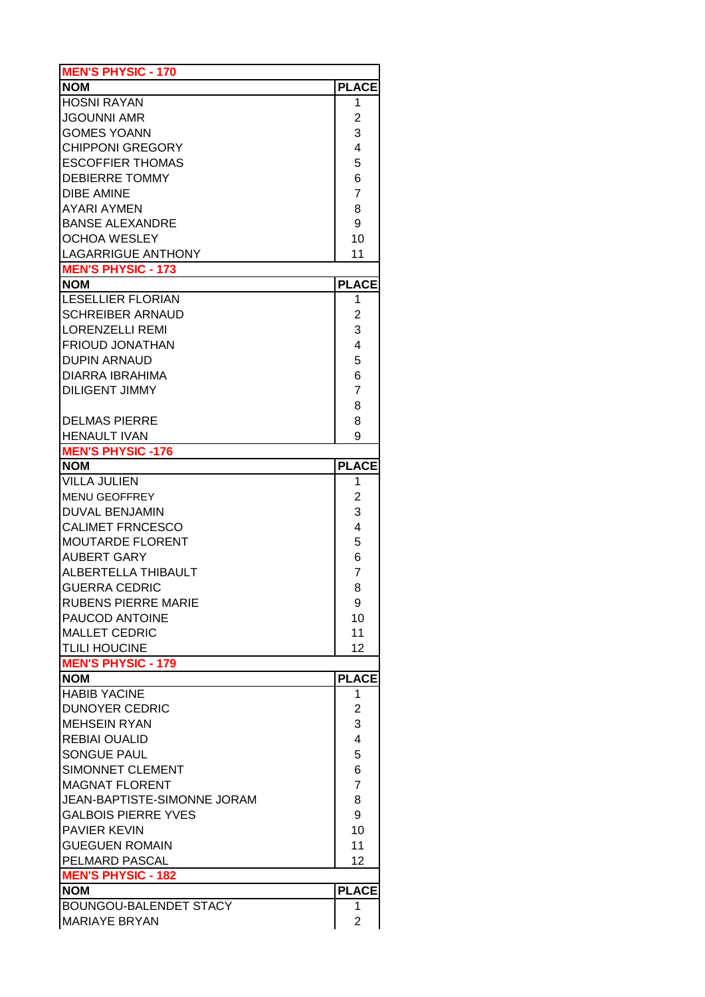| <b>MEN'S PHYSIC - 170</b>                         |                   |
|---------------------------------------------------|-------------------|
| <b>NOM</b>                                        | <b>PLACE</b>      |
| <b>HOSNI RAYAN</b>                                | 1                 |
| <b>JGOUNNI AMR</b>                                | 2                 |
| <b>GOMES YOANN</b>                                | 3                 |
| <b>CHIPPONI GREGORY</b>                           | 4                 |
| <b>ESCOFFIER THOMAS</b>                           | 5                 |
| <b>DEBIERRE TOMMY</b>                             | 6                 |
| <b>DIBE AMINE</b>                                 | $\overline{7}$    |
| <b>AYARI AYMEN</b>                                | 8                 |
| <b>BANSE ALEXANDRE</b>                            | 9                 |
| <b>OCHOA WESLEY</b>                               | 10                |
| <b>LAGARRIGUE ANTHONY</b>                         | 11                |
| <b>MEN'S PHYSIC - 173</b>                         |                   |
| <b>NOM</b>                                        | <b>PLACE</b>      |
| <b>LESELLIER FLORIAN</b>                          | 1                 |
| <b>SCHREIBER ARNAUD</b>                           | 2                 |
| <b>LORENZELLI REMI</b>                            | 3                 |
| <b>FRIOUD JONATHAN</b>                            | 4                 |
| <b>DUPIN ARNAUD</b>                               | 5                 |
| <b>DIARRA IBRAHIMA</b>                            | 6                 |
| <b>DILIGENT JIMMY</b>                             | $\overline{7}$    |
|                                                   | 8                 |
| <b>DELMAS PIERRE</b>                              | 8                 |
| <b>HENAULT IVAN</b>                               | 9                 |
| <b>MEN'S PHYSIC -176</b>                          |                   |
| <b>NOM</b>                                        | <b>PLACE</b>      |
| <b>VILLA JULIEN</b>                               | 1                 |
| <b>MENU GEOFFREY</b>                              | $\overline{2}$    |
| <b>DUVAL BENJAMIN</b>                             | 3                 |
| <b>CALIMET FRNCESCO</b>                           | 4                 |
| <b>MOUTARDE FLORENT</b>                           | 5                 |
| AUBERT GARY                                       | 6                 |
| ALBERTELLA THIBAULT                               | 7                 |
| <b>GUERRA CEDRIC</b>                              | 8                 |
| <b>RUBENS PIERRE MARIE</b>                        |                   |
| PAUCOD ANTOINE                                    | 9<br>10           |
| <b>MALLET CEDRIC</b>                              | 11                |
|                                                   |                   |
| <b>TLILI HOUCINE</b><br><b>MEN'S PHYSIC - 179</b> | 12                |
| <b>NOM</b>                                        | <b>PLACE</b>      |
| <b>HABIB YACINE</b>                               | 1                 |
| <b>DUNOYER CEDRIC</b>                             | $\overline{c}$    |
| <b>MEHSEIN RYAN</b>                               | 3                 |
| <b>REBIAI OUALID</b>                              | 4                 |
| <b>SONGUE PAUL</b>                                | 5                 |
| SIMONNET CLEMENT                                  | 6                 |
| <b>MAGNAT FLORENT</b>                             | $\overline{7}$    |
| JEAN-BAPTISTE-SIMONNE JORAM                       | 8                 |
| <b>GALBOIS PIERRE YVES</b>                        | 9                 |
|                                                   |                   |
| <b>PAVIER KEVIN</b>                               | 10                |
| <b>GUEGUEN ROMAIN</b>                             | 11                |
| PELMARD PASCAL                                    | 12                |
| <b>MEN'S PHYSIC - 182</b>                         |                   |
| <b>NOM</b><br>BOUNGOU-BALENDET STACY              | <b>PLACE</b><br>1 |
| <b>MARIAYE BRYAN</b>                              | $\overline{2}$    |
|                                                   |                   |